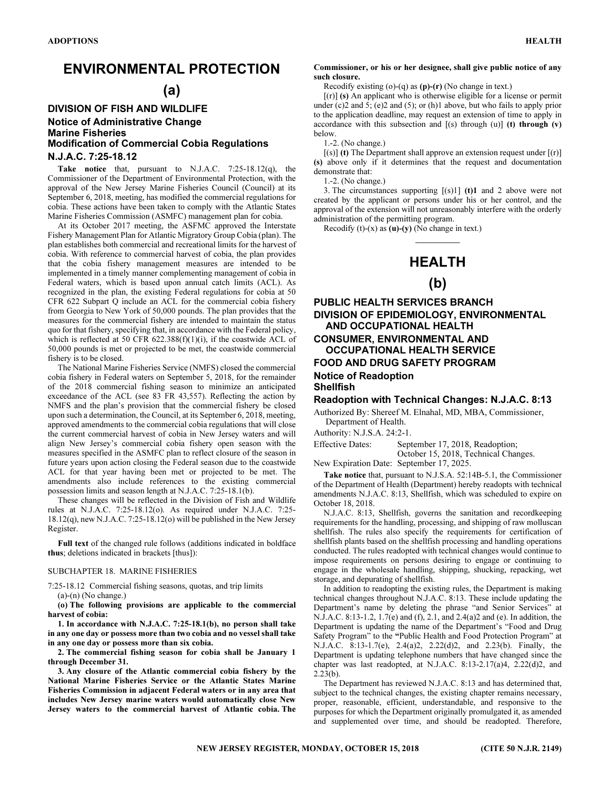## ENVIRONMENTAL PROTECTION

## (a)

### DIVISION OF FISH AND WILDLIFE Notice of Administrative Change Marine Fisheries Modification of Commercial Cobia Regulations N.J.A.C. 7:25-18.12

Take notice that, pursuant to N.J.A.C. 7:25-18.12(q), the Commissioner of the Department of Environmental Protection, with the approval of the New Jersey Marine Fisheries Council (Council) at its September 6, 2018, meeting, has modified the commercial regulations for cobia. These actions have been taken to comply with the Atlantic States Marine Fisheries Commission (ASMFC) management plan for cobia.

At its October 2017 meeting, the ASFMC approved the Interstate Fishery Management Plan for Atlantic Migratory Group Cobia (plan). The plan establishes both commercial and recreational limits for the harvest of cobia. With reference to commercial harvest of cobia, the plan provides that the cobia fishery management measures are intended to be implemented in a timely manner complementing management of cobia in Federal waters, which is based upon annual catch limits (ACL). As recognized in the plan, the existing Federal regulations for cobia at 50 CFR 622 Subpart Q include an ACL for the commercial cobia fishery from Georgia to New York of 50,000 pounds. The plan provides that the measures for the commercial fishery are intended to maintain the status quo for that fishery, specifying that, in accordance with the Federal policy, which is reflected at 50 CFR 622.388(f)(1)(i), if the coastwide ACL of 50,000 pounds is met or projected to be met, the coastwide commercial fishery is to be closed.

The National Marine Fisheries Service (NMFS) closed the commercial cobia fishery in Federal waters on September 5, 2018, for the remainder of the 2018 commercial fishing season to minimize an anticipated exceedance of the ACL (see 83 FR 43,557). Reflecting the action by NMFS and the plan's provision that the commercial fishery be closed upon such a determination, the Council, at its September 6, 2018, meeting, approved amendments to the commercial cobia regulations that will close the current commercial harvest of cobia in New Jersey waters and will align New Jersey's commercial cobia fishery open season with the measures specified in the ASMFC plan to reflect closure of the season in future years upon action closing the Federal season due to the coastwide ACL for that year having been met or projected to be met. The amendments also include references to the existing commercial possession limits and season length at N.J.A.C. 7:25-18.1(b).

These changes will be reflected in the Division of Fish and Wildlife rules at N.J.A.C. 7:25-18.12(o). As required under N.J.A.C. 7:25- 18.12(q), new N.J.A.C. 7:25-18.12(o) will be published in the New Jersey Register.

Full text of the changed rule follows (additions indicated in boldface thus; deletions indicated in brackets [thus]):

#### SUBCHAPTER 18. MARINE FISHERIES

7:25-18.12 Commercial fishing seasons, quotas, and trip limits (a)-(n) (No change.)

(o) The following provisions are applicable to the commercial harvest of cobia:

1. In accordance with N.J.A.C. 7:25-18.1(b), no person shall take in any one day or possess more than two cobia and no vessel shall take in any one day or possess more than six cobia.

2. The commercial fishing season for cobia shall be January 1 through December 31.

3. Any closure of the Atlantic commercial cobia fishery by the National Marine Fisheries Service or the Atlantic States Marine Fisheries Commission in adjacent Federal waters or in any area that includes New Jersey marine waters would automatically close New Jersey waters to the commercial harvest of Atlantic cobia. The

#### Commissioner, or his or her designee, shall give public notice of any such closure.

Recodify existing (o)-(q) as (p)-(r) (No change in text.)

[(r)] (s) An applicant who is otherwise eligible for a license or permit under (c)2 and 5; (e)2 and (5); or (h)1 above, but who fails to apply prior to the application deadline, may request an extension of time to apply in accordance with this subsection and  $[(s)$  through  $(u)]$  (t) through  $(v)$ below.

1.-2. (No change.)

 $[(s)]$  (t) The Department shall approve an extension request under  $[(r)]$ (s) above only if it determines that the request and documentation demonstrate that:

1.-2. (No change.)

3. The circumstances supporting  $[(s)1]$  (t)1 and 2 above were not created by the applicant or persons under his or her control, and the approval of the extension will not unreasonably interfere with the orderly administration of the permitting program.

Recodify  $(t)-(x)$  as  $(u)-(y)$  (No change in text.)

# $\overline{\phantom{a}}$ HEALTH

## (b)

PUBLIC HEALTH SERVICES BRANCH DIVISION OF EPIDEMIOLOGY, ENVIRONMENTAL AND OCCUPATIONAL HEALTH CONSUMER, ENVIRONMENTAL AND OCCUPATIONAL HEALTH SERVICE FOOD AND DRUG SAFETY PROGRAM Notice of Readoption

Shellfish

### Readoption with Technical Changes: N.J.A.C. 8:13

Authorized By: Shereef M. Elnahal, MD, MBA, Commissioner, Department of Health.

Authority: N.J.S.A. 24:2-1.

Effective Dates: September 17, 2018, Readoption;

 October 15, 2018, Technical Changes. New Expiration Date: September 17, 2025.

Take notice that, pursuant to N.J.S.A. 52:14B-5.1, the Commissioner of the Department of Health (Department) hereby readopts with technical amendments N.J.A.C. 8:13, Shellfish, which was scheduled to expire on October 18, 2018.

N.J.A.C. 8:13, Shellfish, governs the sanitation and recordkeeping requirements for the handling, processing, and shipping of raw molluscan shellfish. The rules also specify the requirements for certification of shellfish plants based on the shellfish processing and handling operations conducted. The rules readopted with technical changes would continue to impose requirements on persons desiring to engage or continuing to engage in the wholesale handling, shipping, shucking, repacking, wet storage, and depurating of shellfish.

In addition to readopting the existing rules, the Department is making technical changes throughout N.J.A.C. 8:13. These include updating the Department's name by deleting the phrase "and Senior Services" at N.J.A.C. 8:13-1.2, 1.7(e) and (f), 2.1, and 2.4(a)2 and (e). In addition, the Department is updating the name of the Department's "Food and Drug Safety Program" to the "Public Health and Food Protection Program" at N.J.A.C. 8:13-1.7(e), 2.4(a)2, 2.22(d)2, and 2.23(b). Finally, the Department is updating telephone numbers that have changed since the chapter was last readopted, at N.J.A.C. 8:13-2.17(a)4, 2.22(d)2, and 2.23(b).

The Department has reviewed N.J.A.C. 8:13 and has determined that, subject to the technical changes, the existing chapter remains necessary, proper, reasonable, efficient, understandable, and responsive to the purposes for which the Department originally promulgated it, as amended and supplemented over time, and should be readopted. Therefore,